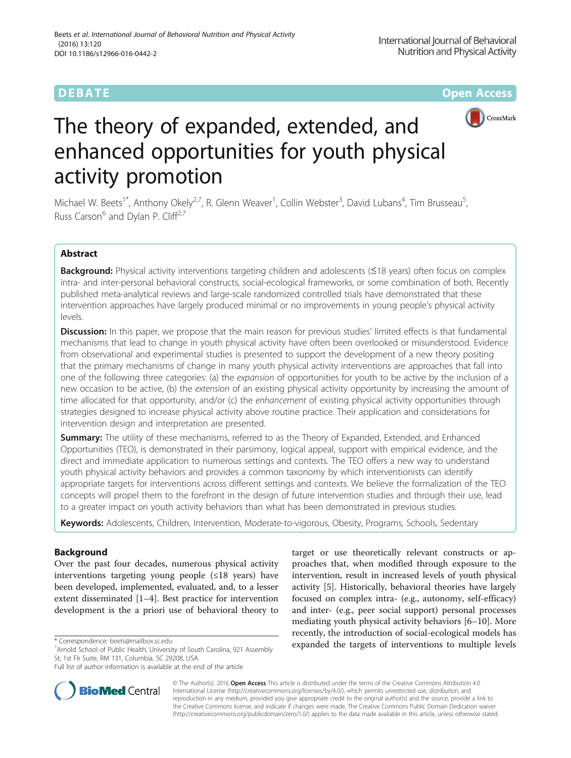



# The theory of expanded, extended, and enhanced opportunities for youth physical activity promotion

Michael W. Beets<sup>1\*</sup>, Anthony Okely<sup>2,7</sup>, R. Glenn Weaver<sup>1</sup>, Collin Webster<sup>3</sup>, David Lubans<sup>4</sup>, Tim Brusseau<sup>5</sup> , Russ Carson<sup>6</sup> and Dylan P. Cliff<sup>2,7</sup>

# Abstract

Background: Physical activity interventions targeting children and adolescents (≤18 years) often focus on complex intra- and inter-personal behavioral constructs, social-ecological frameworks, or some combination of both. Recently published meta-analytical reviews and large-scale randomized controlled trials have demonstrated that these intervention approaches have largely produced minimal or no improvements in young people's physical activity levels.

**Discussion:** In this paper, we propose that the main reason for previous studies' limited effects is that fundamental mechanisms that lead to change in youth physical activity have often been overlooked or misunderstood. Evidence from observational and experimental studies is presented to support the development of a new theory positing that the primary mechanisms of change in many youth physical activity interventions are approaches that fall into one of the following three categories: (a) the expansion of opportunities for youth to be active by the inclusion of a new occasion to be active, (b) the extension of an existing physical activity opportunity by increasing the amount of time allocated for that opportunity, and/or (c) the enhancement of existing physical activity opportunities through strategies designed to increase physical activity above routine practice. Their application and considerations for intervention design and interpretation are presented.

Summary: The utility of these mechanisms, referred to as the Theory of Expanded, Extended, and Enhanced Opportunities (TEO), is demonstrated in their parsimony, logical appeal, support with empirical evidence, and the direct and immediate application to numerous settings and contexts. The TEO offers a new way to understand youth physical activity behaviors and provides a common taxonomy by which interventionists can identify appropriate targets for interventions across different settings and contexts. We believe the formalization of the TEO concepts will propel them to the forefront in the design of future intervention studies and through their use, lead to a greater impact on youth activity behaviors than what has been demonstrated in previous studies.

Keywords: Adolescents, Children, Intervention, Moderate-to-vigorous, Obesity, Programs, Schools, Sedentary

# Background

Over the past four decades, numerous physical activity interventions targeting young people  $(\leq 18$  years) have been developed, implemented, evaluated, and, to a lesser extent disseminated [[1](#page-11-0)–[4\]](#page-11-0). Best practice for intervention development is the a priori use of behavioral theory to

Full list of author information is available at the end of the article





© The Author(s). 2016 Open Access This article is distributed under the terms of the Creative Commons Attribution 4.0 International License [\(http://creativecommons.org/licenses/by/4.0/](http://creativecommons.org/licenses/by/4.0/)), which permits unrestricted use, distribution, and reproduction in any medium, provided you give appropriate credit to the original author(s) and the source, provide a link to the Creative Commons license, and indicate if changes were made. The Creative Commons Public Domain Dedication waiver [\(http://creativecommons.org/publicdomain/zero/1.0/](http://creativecommons.org/publicdomain/zero/1.0/)) applies to the data made available in this article, unless otherwise stated.

<sup>&</sup>lt;sup>1</sup> Arnold School of Public Health, University of South Carolina, 921 Assembly St, 1st Flr Suite, RM 131, Columbia, SC 29208, USA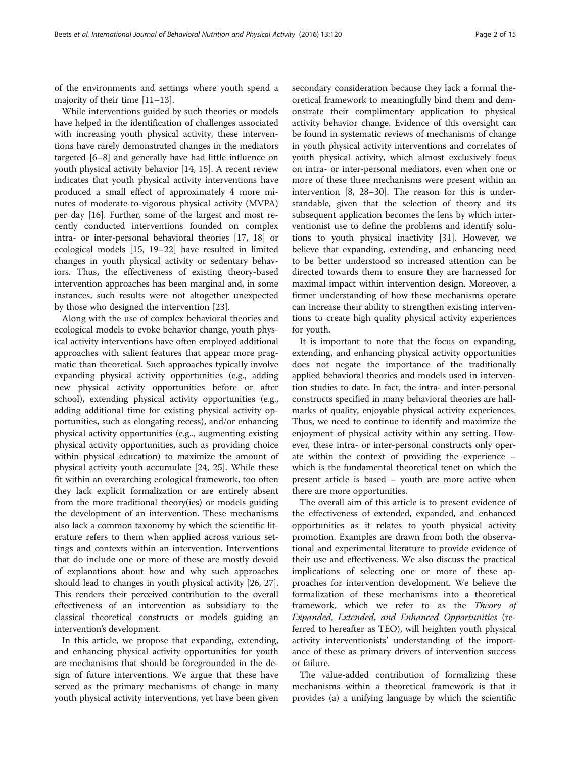of the environments and settings where youth spend a majority of their time [[11](#page-12-0)–[13\]](#page-12-0).

While interventions guided by such theories or models have helped in the identification of challenges associated with increasing youth physical activity, these interventions have rarely demonstrated changes in the mediators targeted [\[6](#page-12-0)–[8](#page-12-0)] and generally have had little influence on youth physical activity behavior [\[14, 15\]](#page-12-0). A recent review indicates that youth physical activity interventions have produced a small effect of approximately 4 more minutes of moderate-to-vigorous physical activity (MVPA) per day [\[16\]](#page-12-0). Further, some of the largest and most recently conducted interventions founded on complex intra- or inter-personal behavioral theories [\[17, 18\]](#page-12-0) or ecological models [[15, 19](#page-12-0)–[22\]](#page-12-0) have resulted in limited changes in youth physical activity or sedentary behaviors. Thus, the effectiveness of existing theory-based intervention approaches has been marginal and, in some instances, such results were not altogether unexpected by those who designed the intervention [[23\]](#page-12-0).

Along with the use of complex behavioral theories and ecological models to evoke behavior change, youth physical activity interventions have often employed additional approaches with salient features that appear more pragmatic than theoretical. Such approaches typically involve expanding physical activity opportunities (e.g., adding new physical activity opportunities before or after school), extending physical activity opportunities (e.g., adding additional time for existing physical activity opportunities, such as elongating recess), and/or enhancing physical activity opportunities (e.g.., augmenting existing physical activity opportunities, such as providing choice within physical education) to maximize the amount of physical activity youth accumulate [\[24](#page-12-0), [25\]](#page-12-0). While these fit within an overarching ecological framework, too often they lack explicit formalization or are entirely absent from the more traditional theory(ies) or models guiding the development of an intervention. These mechanisms also lack a common taxonomy by which the scientific literature refers to them when applied across various settings and contexts within an intervention. Interventions that do include one or more of these are mostly devoid of explanations about how and why such approaches should lead to changes in youth physical activity [[26](#page-12-0), [27](#page-12-0)]. This renders their perceived contribution to the overall effectiveness of an intervention as subsidiary to the classical theoretical constructs or models guiding an intervention's development.

In this article, we propose that expanding, extending, and enhancing physical activity opportunities for youth are mechanisms that should be foregrounded in the design of future interventions. We argue that these have served as the primary mechanisms of change in many youth physical activity interventions, yet have been given secondary consideration because they lack a formal theoretical framework to meaningfully bind them and demonstrate their complimentary application to physical activity behavior change. Evidence of this oversight can be found in systematic reviews of mechanisms of change in youth physical activity interventions and correlates of youth physical activity, which almost exclusively focus on intra- or inter-personal mediators, even when one or more of these three mechanisms were present within an intervention [[8, 28](#page-12-0)–[30](#page-12-0)]. The reason for this is understandable, given that the selection of theory and its subsequent application becomes the lens by which interventionist use to define the problems and identify solutions to youth physical inactivity [\[31](#page-12-0)]. However, we believe that expanding, extending, and enhancing need to be better understood so increased attention can be directed towards them to ensure they are harnessed for maximal impact within intervention design. Moreover, a firmer understanding of how these mechanisms operate can increase their ability to strengthen existing interventions to create high quality physical activity experiences for youth.

It is important to note that the focus on expanding, extending, and enhancing physical activity opportunities does not negate the importance of the traditionally applied behavioral theories and models used in intervention studies to date. In fact, the intra- and inter-personal constructs specified in many behavioral theories are hallmarks of quality, enjoyable physical activity experiences. Thus, we need to continue to identify and maximize the enjoyment of physical activity within any setting. However, these intra- or inter-personal constructs only operate within the context of providing the experience – which is the fundamental theoretical tenet on which the present article is based – youth are more active when there are more opportunities.

The overall aim of this article is to present evidence of the effectiveness of extended, expanded, and enhanced opportunities as it relates to youth physical activity promotion. Examples are drawn from both the observational and experimental literature to provide evidence of their use and effectiveness. We also discuss the practical implications of selecting one or more of these approaches for intervention development. We believe the formalization of these mechanisms into a theoretical framework, which we refer to as the Theory of Expanded, Extended, and Enhanced Opportunities (referred to hereafter as TEO), will heighten youth physical activity interventionists' understanding of the importance of these as primary drivers of intervention success or failure.

The value-added contribution of formalizing these mechanisms within a theoretical framework is that it provides (a) a unifying language by which the scientific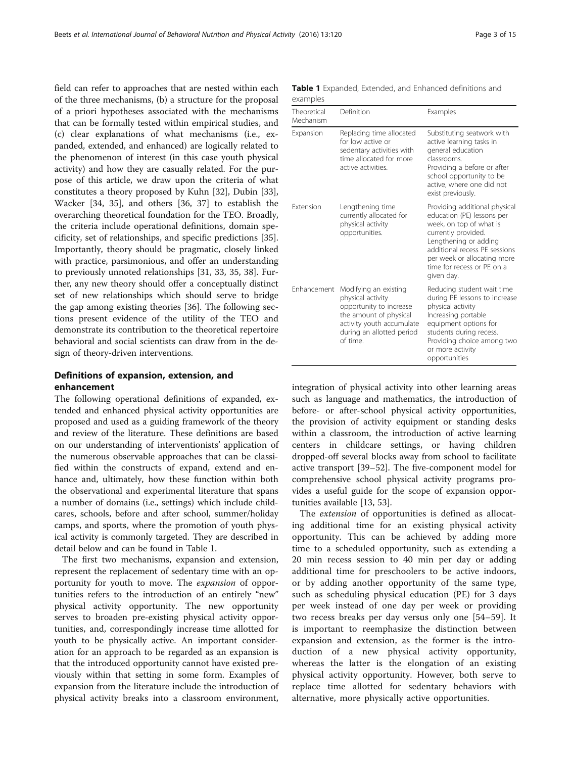field can refer to approaches that are nested within each of the three mechanisms, (b) a structure for the proposal of a priori hypotheses associated with the mechanisms that can be formally tested within empirical studies, and (c) clear explanations of what mechanisms (i.e., expanded, extended, and enhanced) are logically related to the phenomenon of interest (in this case youth physical activity) and how they are casually related. For the purpose of this article, we draw upon the criteria of what constitutes a theory proposed by Kuhn [[32\]](#page-12-0), Dubin [\[33](#page-12-0)], Wacker [[34, 35\]](#page-12-0), and others [\[36](#page-12-0), [37](#page-12-0)] to establish the overarching theoretical foundation for the TEO. Broadly, the criteria include operational definitions, domain specificity, set of relationships, and specific predictions [\[35](#page-12-0)]. Importantly, theory should be pragmatic, closely linked with practice, parsimonious, and offer an understanding to previously unnoted relationships [[31, 33, 35](#page-12-0), [38](#page-12-0)]. Further, any new theory should offer a conceptually distinct set of new relationships which should serve to bridge the gap among existing theories [\[36](#page-12-0)]. The following sections present evidence of the utility of the TEO and demonstrate its contribution to the theoretical repertoire behavioral and social scientists can draw from in the design of theory-driven interventions.

# Definitions of expansion, extension, and enhancement

The following operational definitions of expanded, extended and enhanced physical activity opportunities are proposed and used as a guiding framework of the theory and review of the literature. These definitions are based on our understanding of interventionists' application of the numerous observable approaches that can be classified within the constructs of expand, extend and enhance and, ultimately, how these function within both the observational and experimental literature that spans a number of domains (i.e., settings) which include childcares, schools, before and after school, summer/holiday camps, and sports, where the promotion of youth physical activity is commonly targeted. They are described in detail below and can be found in Table 1.

The first two mechanisms, expansion and extension, represent the replacement of sedentary time with an opportunity for youth to move. The expansion of opportunities refers to the introduction of an entirely "new" physical activity opportunity. The new opportunity serves to broaden pre-existing physical activity opportunities, and, correspondingly increase time allotted for youth to be physically active. An important consideration for an approach to be regarded as an expansion is that the introduced opportunity cannot have existed previously within that setting in some form. Examples of expansion from the literature include the introduction of physical activity breaks into a classroom environment,

|          |  |  | Table 1 Expanded, Extended, and Enhanced definitions and |  |
|----------|--|--|----------------------------------------------------------|--|
| examples |  |  |                                                          |  |

| Theoretical<br>Mechanism | Definition                                                                                                                                                            | Examples                                                                                                                                                                                                                                           |
|--------------------------|-----------------------------------------------------------------------------------------------------------------------------------------------------------------------|----------------------------------------------------------------------------------------------------------------------------------------------------------------------------------------------------------------------------------------------------|
| Expansion                | Replacing time allocated<br>for low active or<br>sedentary activities with<br>time allocated for more<br>active activities.                                           | Substituting seatwork with<br>active learning tasks in<br>general education<br>classrooms.<br>Providing a before or after<br>school opportunity to be<br>active, where one did not<br>exist previously.                                            |
| <b>Fxtension</b>         | Lengthening time<br>currently allocated for<br>physical activity<br>opportunities.                                                                                    | Providing additional physical<br>education (PE) lessons per<br>week, on top of what is<br>currently provided.<br>Lengthening or adding<br>additional recess PF sessions<br>per week or allocating more<br>time for recess or PE on a<br>given day. |
| Enhancement              | Modifying an existing<br>physical activity<br>opportunity to increase<br>the amount of physical<br>activity youth accumulate<br>during an allotted period<br>of time. | Reducing student wait time<br>during PE lessons to increase<br>physical activity<br>Increasing portable<br>equipment options for<br>students during recess.<br>Providing choice among two<br>or more activity<br>opportunities                     |

integration of physical activity into other learning areas such as language and mathematics, the introduction of before- or after-school physical activity opportunities, the provision of activity equipment or standing desks within a classroom, the introduction of active learning centers in childcare settings, or having children dropped-off several blocks away from school to facilitate active transport [[39](#page-12-0)–[52\]](#page-13-0). The five-component model for comprehensive school physical activity programs provides a useful guide for the scope of expansion opportunities available [[13,](#page-12-0) [53\]](#page-13-0).

The extension of opportunities is defined as allocating additional time for an existing physical activity opportunity. This can be achieved by adding more time to a scheduled opportunity, such as extending a 20 min recess session to 40 min per day or adding additional time for preschoolers to be active indoors, or by adding another opportunity of the same type, such as scheduling physical education (PE) for 3 days per week instead of one day per week or providing two recess breaks per day versus only one [\[54](#page-13-0)–[59](#page-13-0)]. It is important to reemphasize the distinction between expansion and extension, as the former is the introduction of a new physical activity opportunity, whereas the latter is the elongation of an existing physical activity opportunity. However, both serve to replace time allotted for sedentary behaviors with alternative, more physically active opportunities.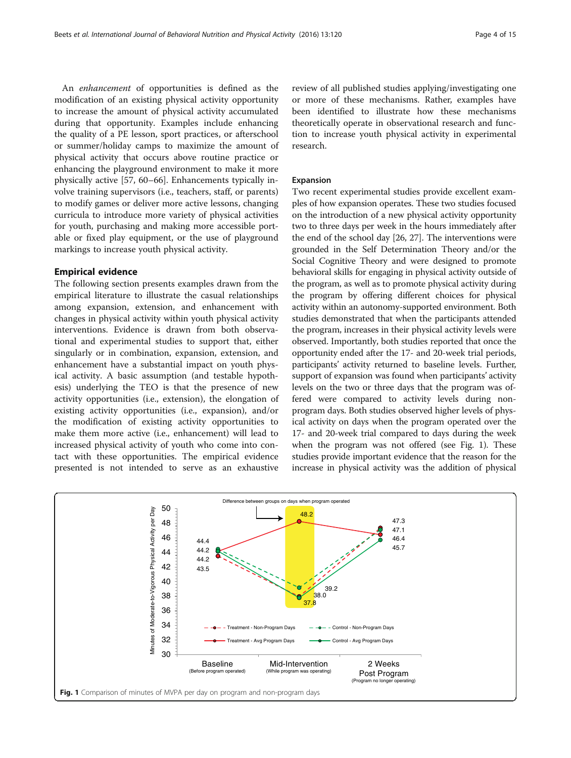An enhancement of opportunities is defined as the modification of an existing physical activity opportunity to increase the amount of physical activity accumulated during that opportunity. Examples include enhancing the quality of a PE lesson, sport practices, or afterschool or summer/holiday camps to maximize the amount of physical activity that occurs above routine practice or enhancing the playground environment to make it more physically active [\[57](#page-13-0), [60](#page-13-0)–[66](#page-13-0)]. Enhancements typically involve training supervisors (i.e., teachers, staff, or parents) to modify games or deliver more active lessons, changing curricula to introduce more variety of physical activities for youth, purchasing and making more accessible portable or fixed play equipment, or the use of playground markings to increase youth physical activity.

# Empirical evidence

The following section presents examples drawn from the empirical literature to illustrate the casual relationships among expansion, extension, and enhancement with changes in physical activity within youth physical activity interventions. Evidence is drawn from both observational and experimental studies to support that, either singularly or in combination, expansion, extension, and enhancement have a substantial impact on youth physical activity. A basic assumption (and testable hypothesis) underlying the TEO is that the presence of new activity opportunities (i.e., extension), the elongation of existing activity opportunities (i.e., expansion), and/or the modification of existing activity opportunities to make them more active (i.e., enhancement) will lead to increased physical activity of youth who come into contact with these opportunities. The empirical evidence presented is not intended to serve as an exhaustive

review of all published studies applying/investigating one or more of these mechanisms. Rather, examples have been identified to illustrate how these mechanisms theoretically operate in observational research and function to increase youth physical activity in experimental research.

# Expansion

Two recent experimental studies provide excellent examples of how expansion operates. These two studies focused on the introduction of a new physical activity opportunity two to three days per week in the hours immediately after the end of the school day [[26](#page-12-0), [27\]](#page-12-0). The interventions were grounded in the Self Determination Theory and/or the Social Cognitive Theory and were designed to promote behavioral skills for engaging in physical activity outside of the program, as well as to promote physical activity during the program by offering different choices for physical activity within an autonomy-supported environment. Both studies demonstrated that when the participants attended the program, increases in their physical activity levels were observed. Importantly, both studies reported that once the opportunity ended after the 17- and 20-week trial periods, participants' activity returned to baseline levels. Further, support of expansion was found when participants' activity levels on the two or three days that the program was offered were compared to activity levels during nonprogram days. Both studies observed higher levels of physical activity on days when the program operated over the 17- and 20-week trial compared to days during the week when the program was not offered (see Fig. 1). These studies provide important evidence that the reason for the increase in physical activity was the addition of physical

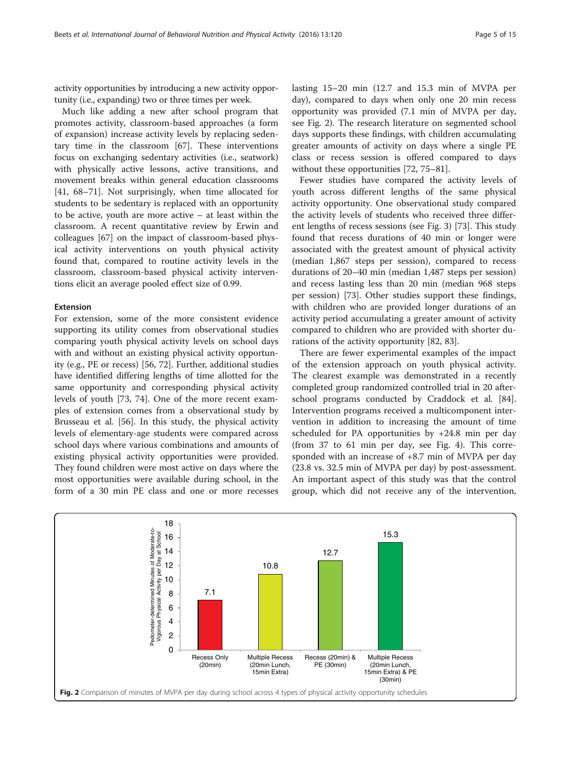activity opportunities by introducing a new activity opportunity (i.e., expanding) two or three times per week.

Much like adding a new after school program that promotes activity, classroom-based approaches (a form of expansion) increase activity levels by replacing sedentary time in the classroom [\[67](#page-13-0)]. These interventions focus on exchanging sedentary activities (i.e., seatwork) with physically active lessons, active transitions, and movement breaks within general education classrooms [[41,](#page-12-0) [68](#page-13-0)–[71](#page-13-0)]. Not surprisingly, when time allocated for students to be sedentary is replaced with an opportunity to be active, youth are more active – at least within the classroom. A recent quantitative review by Erwin and colleagues [\[67](#page-13-0)] on the impact of classroom-based physical activity interventions on youth physical activity found that, compared to routine activity levels in the classroom, classroom-based physical activity interventions elicit an average pooled effect size of 0.99.

# **Extension**

For extension, some of the more consistent evidence supporting its utility comes from observational studies comparing youth physical activity levels on school days with and without an existing physical activity opportunity (e.g., PE or recess) [[56, 72\]](#page-13-0). Further, additional studies have identified differing lengths of time allotted for the same opportunity and corresponding physical activity levels of youth [\[73](#page-13-0), [74\]](#page-13-0). One of the more recent examples of extension comes from a observational study by Brusseau et al. [\[56](#page-13-0)]. In this study, the physical activity levels of elementary-age students were compared across school days where various combinations and amounts of existing physical activity opportunities were provided. They found children were most active on days where the most opportunities were available during school, in the form of a 30 min PE class and one or more recesses

lasting 15–20 min (12.7 and 15.3 min of MVPA per day), compared to days when only one 20 min recess opportunity was provided (7.1 min of MVPA per day, see Fig. 2). The research literature on segmented school days supports these findings, with children accumulating greater amounts of activity on days where a single PE class or recess session is offered compared to days without these opportunities [\[72, 75](#page-13-0)–[81](#page-13-0)].

Fewer studies have compared the activity levels of youth across different lengths of the same physical activity opportunity. One observational study compared the activity levels of students who received three different lengths of recess sessions (see Fig. [3](#page-5-0)) [[73](#page-13-0)]. This study found that recess durations of 40 min or longer were associated with the greatest amount of physical activity (median 1,867 steps per session), compared to recess durations of 20–40 min (median 1,487 steps per session) and recess lasting less than 20 min (median 968 steps per session) [[73\]](#page-13-0). Other studies support these findings, with children who are provided longer durations of an activity period accumulating a greater amount of activity compared to children who are provided with shorter durations of the activity opportunity [\[82, 83\]](#page-13-0).

There are fewer experimental examples of the impact of the extension approach on youth physical activity. The clearest example was demonstrated in a recently completed group randomized controlled trial in 20 afterschool programs conducted by Craddock et al. [\[84](#page-13-0)]. Intervention programs received a multicomponent intervention in addition to increasing the amount of time scheduled for PA opportunities by +24.8 min per day (from 37 to 61 min per day, see Fig. [4\)](#page-5-0). This corresponded with an increase of +8.7 min of MVPA per day (23.8 vs. 32.5 min of MVPA per day) by post-assessment. An important aspect of this study was that the control group, which did not receive any of the intervention,

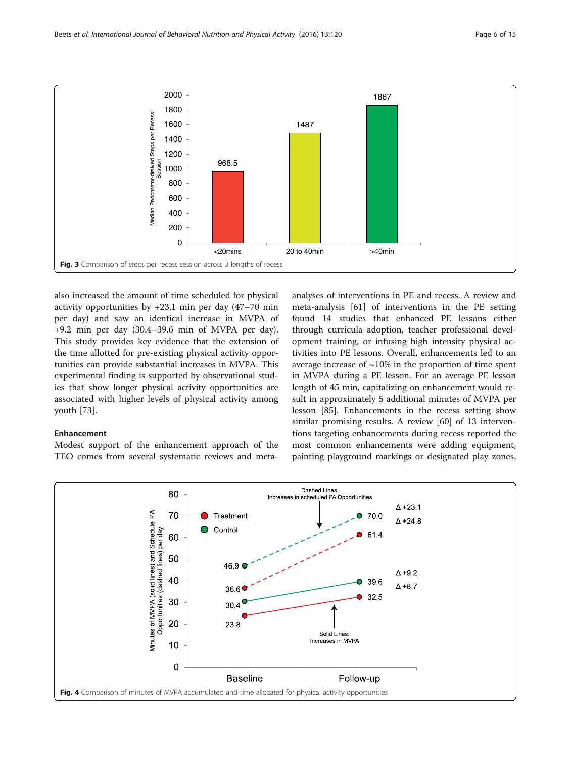<span id="page-5-0"></span>

also increased the amount of time scheduled for physical activity opportunities by +23.1 min per day (47–70 min per day) and saw an identical increase in MVPA of +9.2 min per day (30.4–39.6 min of MVPA per day). This study provides key evidence that the extension of the time allotted for pre-existing physical activity opportunities can provide substantial increases in MVPA. This experimental finding is supported by observational studies that show longer physical activity opportunities are associated with higher levels of physical activity among youth [\[73\]](#page-13-0).

# Enhancement

Modest support of the enhancement approach of the TEO comes from several systematic reviews and meta-

analyses of interventions in PE and recess. A review and meta-analysis [[61\]](#page-13-0) of interventions in the PE setting found 14 studies that enhanced PE lessons either through curricula adoption, teacher professional development training, or infusing high intensity physical activities into PE lessons. Overall, enhancements led to an average increase of  $\sim$ 10% in the proportion of time spent in MVPA during a PE lesson. For an average PE lesson length of 45 min, capitalizing on enhancement would result in approximately 5 additional minutes of MVPA per lesson [\[85](#page-13-0)]. Enhancements in the recess setting show similar promising results. A review [[60\]](#page-13-0) of 13 interventions targeting enhancements during recess reported the most common enhancements were adding equipment, painting playground markings or designated play zones,

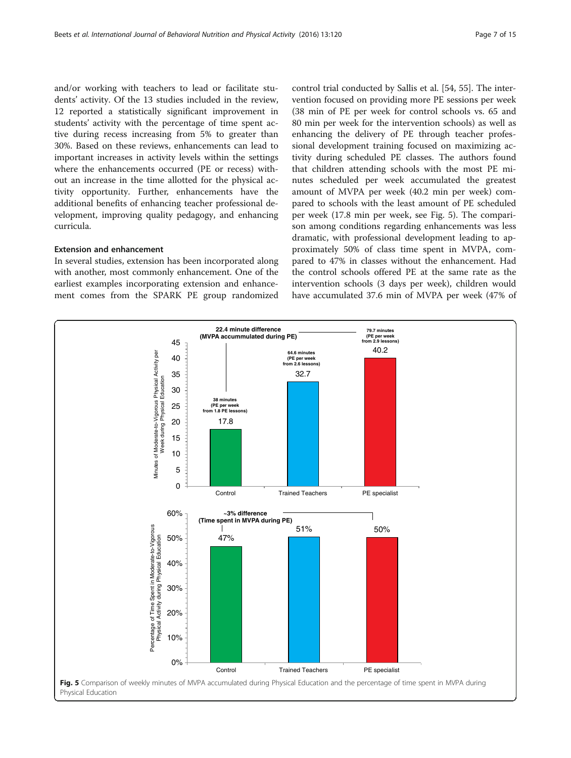and/or working with teachers to lead or facilitate students' activity. Of the 13 studies included in the review, 12 reported a statistically significant improvement in students' activity with the percentage of time spent active during recess increasing from 5% to greater than 30%. Based on these reviews, enhancements can lead to important increases in activity levels within the settings where the enhancements occurred (PE or recess) without an increase in the time allotted for the physical activity opportunity. Further, enhancements have the additional benefits of enhancing teacher professional development, improving quality pedagogy, and enhancing curricula.

# Extension and enhancement

In several studies, extension has been incorporated along with another, most commonly enhancement. One of the earliest examples incorporating extension and enhancement comes from the SPARK PE group randomized control trial conducted by Sallis et al. [[54, 55\]](#page-13-0). The intervention focused on providing more PE sessions per week (38 min of PE per week for control schools vs. 65 and 80 min per week for the intervention schools) as well as enhancing the delivery of PE through teacher professional development training focused on maximizing activity during scheduled PE classes. The authors found that children attending schools with the most PE minutes scheduled per week accumulated the greatest amount of MVPA per week (40.2 min per week) compared to schools with the least amount of PE scheduled per week (17.8 min per week, see Fig. 5). The comparison among conditions regarding enhancements was less dramatic, with professional development leading to approximately 50% of class time spent in MVPA, compared to 47% in classes without the enhancement. Had the control schools offered PE at the same rate as the intervention schools (3 days per week), children would have accumulated 37.6 min of MVPA per week (47% of

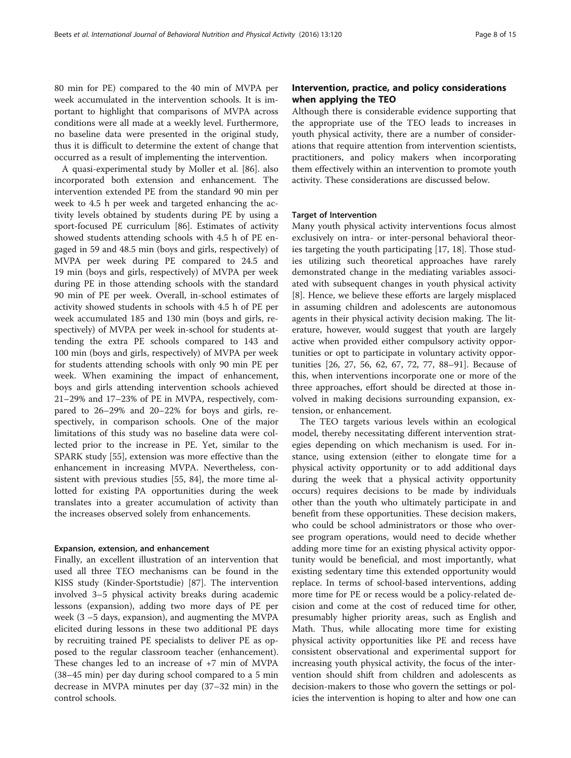80 min for PE) compared to the 40 min of MVPA per week accumulated in the intervention schools. It is important to highlight that comparisons of MVPA across conditions were all made at a weekly level. Furthermore, no baseline data were presented in the original study, thus it is difficult to determine the extent of change that occurred as a result of implementing the intervention.

A quasi-experimental study by Moller et al. [[86](#page-13-0)]. also incorporated both extension and enhancement. The intervention extended PE from the standard 90 min per week to 4.5 h per week and targeted enhancing the activity levels obtained by students during PE by using a sport-focused PE curriculum [[86](#page-13-0)]. Estimates of activity showed students attending schools with 4.5 h of PE engaged in 59 and 48.5 min (boys and girls, respectively) of MVPA per week during PE compared to 24.5 and 19 min (boys and girls, respectively) of MVPA per week during PE in those attending schools with the standard 90 min of PE per week. Overall, in-school estimates of activity showed students in schools with 4.5 h of PE per week accumulated 185 and 130 min (boys and girls, respectively) of MVPA per week in-school for students attending the extra PE schools compared to 143 and 100 min (boys and girls, respectively) of MVPA per week for students attending schools with only 90 min PE per week. When examining the impact of enhancement, boys and girls attending intervention schools achieved 21–29% and 17–23% of PE in MVPA, respectively, compared to 26–29% and 20–22% for boys and girls, respectively, in comparison schools. One of the major limitations of this study was no baseline data were collected prior to the increase in PE. Yet, similar to the SPARK study [\[55](#page-13-0)], extension was more effective than the enhancement in increasing MVPA. Nevertheless, consistent with previous studies [[55, 84](#page-13-0)], the more time allotted for existing PA opportunities during the week translates into a greater accumulation of activity than the increases observed solely from enhancements.

# Expansion, extension, and enhancement

Finally, an excellent illustration of an intervention that used all three TEO mechanisms can be found in the KISS study (Kinder-Sportstudie) [[87\]](#page-13-0). The intervention involved 3–5 physical activity breaks during academic lessons (expansion), adding two more days of PE per week (3 –5 days, expansion), and augmenting the MVPA elicited during lessons in these two additional PE days by recruiting trained PE specialists to deliver PE as opposed to the regular classroom teacher (enhancement). These changes led to an increase of +7 min of MVPA (38–45 min) per day during school compared to a 5 min decrease in MVPA minutes per day (37–32 min) in the control schools.

# Intervention, practice, and policy considerations when applying the TEO

Although there is considerable evidence supporting that the appropriate use of the TEO leads to increases in youth physical activity, there are a number of considerations that require attention from intervention scientists, practitioners, and policy makers when incorporating them effectively within an intervention to promote youth activity. These considerations are discussed below.

# Target of Intervention

Many youth physical activity interventions focus almost exclusively on intra- or inter-personal behavioral theories targeting the youth participating [[17, 18](#page-12-0)]. Those studies utilizing such theoretical approaches have rarely demonstrated change in the mediating variables associated with subsequent changes in youth physical activity [[8\]](#page-12-0). Hence, we believe these efforts are largely misplaced in assuming children and adolescents are autonomous agents in their physical activity decision making. The literature, however, would suggest that youth are largely active when provided either compulsory activity opportunities or opt to participate in voluntary activity opportunities [[26, 27](#page-12-0), [56, 62, 67, 72, 77](#page-13-0), [88](#page-13-0)–[91\]](#page-14-0). Because of this, when interventions incorporate one or more of the three approaches, effort should be directed at those involved in making decisions surrounding expansion, extension, or enhancement.

The TEO targets various levels within an ecological model, thereby necessitating different intervention strategies depending on which mechanism is used. For instance, using extension (either to elongate time for a physical activity opportunity or to add additional days during the week that a physical activity opportunity occurs) requires decisions to be made by individuals other than the youth who ultimately participate in and benefit from these opportunities. These decision makers, who could be school administrators or those who oversee program operations, would need to decide whether adding more time for an existing physical activity opportunity would be beneficial, and most importantly, what existing sedentary time this extended opportunity would replace. In terms of school-based interventions, adding more time for PE or recess would be a policy-related decision and come at the cost of reduced time for other, presumably higher priority areas, such as English and Math. Thus, while allocating more time for existing physical activity opportunities like PE and recess have consistent observational and experimental support for increasing youth physical activity, the focus of the intervention should shift from children and adolescents as decision-makers to those who govern the settings or policies the intervention is hoping to alter and how one can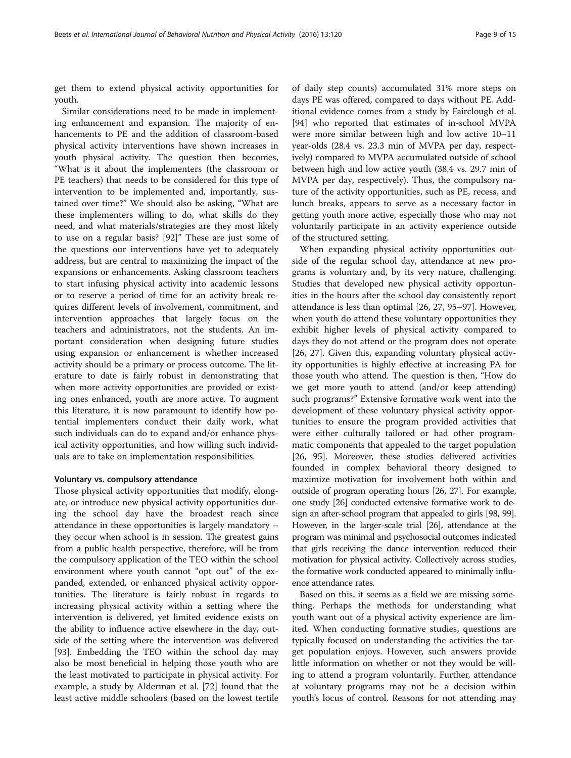get them to extend physical activity opportunities for youth.

Similar considerations need to be made in implementing enhancement and expansion. The majority of enhancements to PE and the addition of classroom-based physical activity interventions have shown increases in youth physical activity. The question then becomes, "What is it about the implementers (the classroom or PE teachers) that needs to be considered for this type of intervention to be implemented and, importantly, sustained over time?" We should also be asking, "What are these implementers willing to do, what skills do they need, and what materials/strategies are they most likely to use on a regular basis? [[92\]](#page-14-0)" These are just some of the questions our interventions have yet to adequately address, but are central to maximizing the impact of the expansions or enhancements. Asking classroom teachers to start infusing physical activity into academic lessons or to reserve a period of time for an activity break requires different levels of involvement, commitment, and intervention approaches that largely focus on the teachers and administrators, not the students. An important consideration when designing future studies using expansion or enhancement is whether increased activity should be a primary or process outcome. The literature to date is fairly robust in demonstrating that when more activity opportunities are provided or existing ones enhanced, youth are more active. To augment this literature, it is now paramount to identify how potential implementers conduct their daily work, what such individuals can do to expand and/or enhance physical activity opportunities, and how willing such individuals are to take on implementation responsibilities.

# Voluntary vs. compulsory attendance

Those physical activity opportunities that modify, elongate, or introduce new physical activity opportunities during the school day have the broadest reach since attendance in these opportunities is largely mandatory – they occur when school is in session. The greatest gains from a public health perspective, therefore, will be from the compulsory application of the TEO within the school environment where youth cannot "opt out" of the expanded, extended, or enhanced physical activity opportunities. The literature is fairly robust in regards to increasing physical activity within a setting where the intervention is delivered, yet limited evidence exists on the ability to influence active elsewhere in the day, outside of the setting where the intervention was delivered [[93\]](#page-14-0). Embedding the TEO within the school day may also be most beneficial in helping those youth who are the least motivated to participate in physical activity. For example, a study by Alderman et al. [\[72\]](#page-13-0) found that the least active middle schoolers (based on the lowest tertile of daily step counts) accumulated 31% more steps on days PE was offered, compared to days without PE. Additional evidence comes from a study by Fairclough et al. [[94\]](#page-14-0) who reported that estimates of in-school MVPA were more similar between high and low active 10–11 year-olds (28.4 vs. 23.3 min of MVPA per day, respectively) compared to MVPA accumulated outside of school between high and low active youth (38.4 vs. 29.7 min of MVPA per day, respectively). Thus, the compulsory nature of the activity opportunities, such as PE, recess, and lunch breaks, appears to serve as a necessary factor in getting youth more active, especially those who may not voluntarily participate in an activity experience outside of the structured setting.

When expanding physical activity opportunities outside of the regular school day, attendance at new programs is voluntary and, by its very nature, challenging. Studies that developed new physical activity opportunities in the hours after the school day consistently report attendance is less than optimal [\[26, 27,](#page-12-0) [95](#page-14-0)–[97](#page-14-0)]. However, when youth do attend these voluntary opportunities they exhibit higher levels of physical activity compared to days they do not attend or the program does not operate [[26, 27](#page-12-0)]. Given this, expanding voluntary physical activity opportunities is highly effective at increasing PA for those youth who attend. The question is then, "How do we get more youth to attend (and/or keep attending) such programs?" Extensive formative work went into the development of these voluntary physical activity opportunities to ensure the program provided activities that were either culturally tailored or had other programmatic components that appealed to the target population [[26,](#page-12-0) [95](#page-14-0)]. Moreover, these studies delivered activities founded in complex behavioral theory designed to maximize motivation for involvement both within and outside of program operating hours [\[26, 27](#page-12-0)]. For example, one study [\[26\]](#page-12-0) conducted extensive formative work to design an after-school program that appealed to girls [[98](#page-14-0), [99](#page-14-0)]. However, in the larger-scale trial [[26](#page-12-0)], attendance at the program was minimal and psychosocial outcomes indicated that girls receiving the dance intervention reduced their motivation for physical activity. Collectively across studies, the formative work conducted appeared to minimally influence attendance rates.

Based on this, it seems as a field we are missing something. Perhaps the methods for understanding what youth want out of a physical activity experience are limited. When conducting formative studies, questions are typically focused on understanding the activities the target population enjoys. However, such answers provide little information on whether or not they would be willing to attend a program voluntarily. Further, attendance at voluntary programs may not be a decision within youth's locus of control. Reasons for not attending may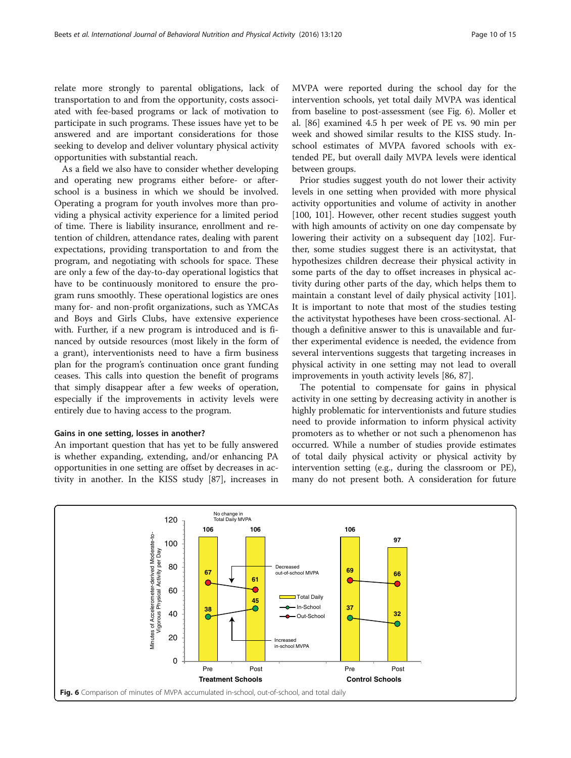relate more strongly to parental obligations, lack of transportation to and from the opportunity, costs associated with fee-based programs or lack of motivation to participate in such programs. These issues have yet to be answered and are important considerations for those seeking to develop and deliver voluntary physical activity opportunities with substantial reach.

As a field we also have to consider whether developing and operating new programs either before- or afterschool is a business in which we should be involved. Operating a program for youth involves more than providing a physical activity experience for a limited period of time. There is liability insurance, enrollment and retention of children, attendance rates, dealing with parent expectations, providing transportation to and from the program, and negotiating with schools for space. These are only a few of the day-to-day operational logistics that have to be continuously monitored to ensure the program runs smoothly. These operational logistics are ones many for- and non-profit organizations, such as YMCAs and Boys and Girls Clubs, have extensive experience with. Further, if a new program is introduced and is financed by outside resources (most likely in the form of a grant), interventionists need to have a firm business plan for the program's continuation once grant funding ceases. This calls into question the benefit of programs that simply disappear after a few weeks of operation, especially if the improvements in activity levels were entirely due to having access to the program.

# Gains in one setting, losses in another?

An important question that has yet to be fully answered is whether expanding, extending, and/or enhancing PA opportunities in one setting are offset by decreases in activity in another. In the KISS study [\[87](#page-13-0)], increases in MVPA were reported during the school day for the intervention schools, yet total daily MVPA was identical from baseline to post-assessment (see Fig. 6). Moller et al. [\[86\]](#page-13-0) examined 4.5 h per week of PE vs. 90 min per week and showed similar results to the KISS study. Inschool estimates of MVPA favored schools with extended PE, but overall daily MVPA levels were identical between groups.

Prior studies suggest youth do not lower their activity levels in one setting when provided with more physical activity opportunities and volume of activity in another [[100, 101](#page-14-0)]. However, other recent studies suggest youth with high amounts of activity on one day compensate by lowering their activity on a subsequent day [[102](#page-14-0)]. Further, some studies suggest there is an activitystat, that hypothesizes children decrease their physical activity in some parts of the day to offset increases in physical activity during other parts of the day, which helps them to maintain a constant level of daily physical activity [[101](#page-14-0)]. It is important to note that most of the studies testing the activitystat hypotheses have been cross-sectional. Although a definitive answer to this is unavailable and further experimental evidence is needed, the evidence from several interventions suggests that targeting increases in physical activity in one setting may not lead to overall improvements in youth activity levels [\[86, 87\]](#page-13-0).

The potential to compensate for gains in physical activity in one setting by decreasing activity in another is highly problematic for interventionists and future studies need to provide information to inform physical activity promoters as to whether or not such a phenomenon has occurred. While a number of studies provide estimates of total daily physical activity or physical activity by intervention setting (e.g., during the classroom or PE), many do not present both. A consideration for future

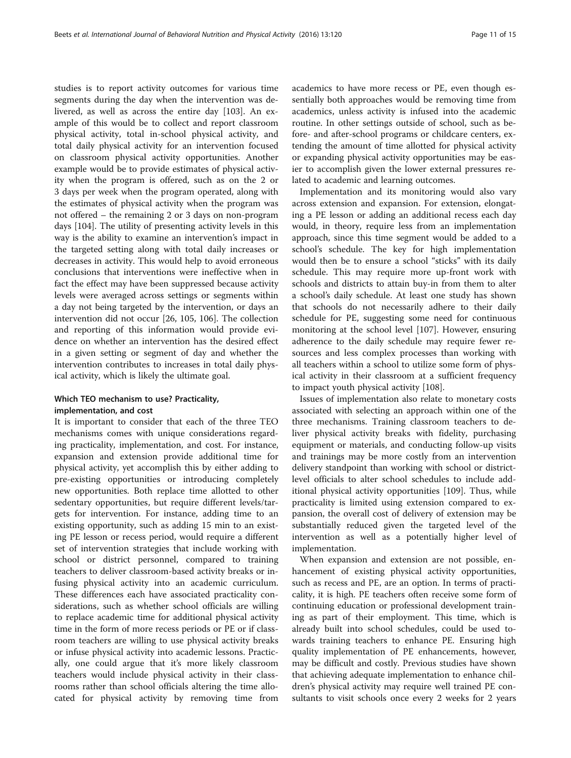studies is to report activity outcomes for various time segments during the day when the intervention was delivered, as well as across the entire day [[103\]](#page-14-0). An example of this would be to collect and report classroom physical activity, total in-school physical activity, and total daily physical activity for an intervention focused on classroom physical activity opportunities. Another example would be to provide estimates of physical activity when the program is offered, such as on the 2 or 3 days per week when the program operated, along with the estimates of physical activity when the program was not offered – the remaining 2 or 3 days on non-program days [[104](#page-14-0)]. The utility of presenting activity levels in this way is the ability to examine an intervention's impact in the targeted setting along with total daily increases or decreases in activity. This would help to avoid erroneous conclusions that interventions were ineffective when in fact the effect may have been suppressed because activity levels were averaged across settings or segments within a day not being targeted by the intervention, or days an intervention did not occur [[26](#page-12-0), [105, 106\]](#page-14-0). The collection and reporting of this information would provide evidence on whether an intervention has the desired effect in a given setting or segment of day and whether the intervention contributes to increases in total daily physical activity, which is likely the ultimate goal.

# Which TEO mechanism to use? Practicality, implementation, and cost

It is important to consider that each of the three TEO mechanisms comes with unique considerations regarding practicality, implementation, and cost. For instance, expansion and extension provide additional time for physical activity, yet accomplish this by either adding to pre-existing opportunities or introducing completely new opportunities. Both replace time allotted to other sedentary opportunities, but require different levels/targets for intervention. For instance, adding time to an existing opportunity, such as adding 15 min to an existing PE lesson or recess period, would require a different set of intervention strategies that include working with school or district personnel, compared to training teachers to deliver classroom-based activity breaks or infusing physical activity into an academic curriculum. These differences each have associated practicality considerations, such as whether school officials are willing to replace academic time for additional physical activity time in the form of more recess periods or PE or if classroom teachers are willing to use physical activity breaks or infuse physical activity into academic lessons. Practically, one could argue that it's more likely classroom teachers would include physical activity in their classrooms rather than school officials altering the time allocated for physical activity by removing time from academics to have more recess or PE, even though essentially both approaches would be removing time from academics, unless activity is infused into the academic routine. In other settings outside of school, such as before- and after-school programs or childcare centers, extending the amount of time allotted for physical activity or expanding physical activity opportunities may be easier to accomplish given the lower external pressures related to academic and learning outcomes.

Implementation and its monitoring would also vary across extension and expansion. For extension, elongating a PE lesson or adding an additional recess each day would, in theory, require less from an implementation approach, since this time segment would be added to a school's schedule. The key for high implementation would then be to ensure a school "sticks" with its daily schedule. This may require more up-front work with schools and districts to attain buy-in from them to alter a school's daily schedule. At least one study has shown that schools do not necessarily adhere to their daily schedule for PE, suggesting some need for continuous monitoring at the school level [[107](#page-14-0)]. However, ensuring adherence to the daily schedule may require fewer resources and less complex processes than working with all teachers within a school to utilize some form of physical activity in their classroom at a sufficient frequency to impact youth physical activity [[108\]](#page-14-0).

Issues of implementation also relate to monetary costs associated with selecting an approach within one of the three mechanisms. Training classroom teachers to deliver physical activity breaks with fidelity, purchasing equipment or materials, and conducting follow-up visits and trainings may be more costly from an intervention delivery standpoint than working with school or districtlevel officials to alter school schedules to include additional physical activity opportunities [[109\]](#page-14-0). Thus, while practicality is limited using extension compared to expansion, the overall cost of delivery of extension may be substantially reduced given the targeted level of the intervention as well as a potentially higher level of implementation.

When expansion and extension are not possible, enhancement of existing physical activity opportunities, such as recess and PE, are an option. In terms of practicality, it is high. PE teachers often receive some form of continuing education or professional development training as part of their employment. This time, which is already built into school schedules, could be used towards training teachers to enhance PE. Ensuring high quality implementation of PE enhancements, however, may be difficult and costly. Previous studies have shown that achieving adequate implementation to enhance children's physical activity may require well trained PE consultants to visit schools once every 2 weeks for 2 years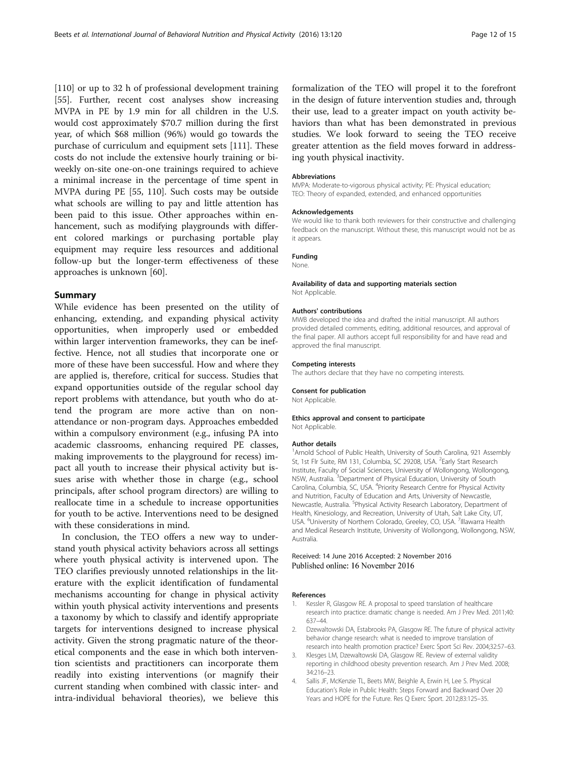<span id="page-11-0"></span>[[110\]](#page-14-0) or up to 32 h of professional development training [[55\]](#page-13-0). Further, recent cost analyses show increasing MVPA in PE by 1.9 min for all children in the U.S. would cost approximately \$70.7 million during the first year, of which \$68 million (96%) would go towards the purchase of curriculum and equipment sets [[111\]](#page-14-0). These costs do not include the extensive hourly training or biweekly on-site one-on-one trainings required to achieve a minimal increase in the percentage of time spent in MVPA during PE [[55,](#page-13-0) [110](#page-14-0)]. Such costs may be outside what schools are willing to pay and little attention has been paid to this issue. Other approaches within enhancement, such as modifying playgrounds with different colored markings or purchasing portable play equipment may require less resources and additional follow-up but the longer-term effectiveness of these approaches is unknown [\[60](#page-13-0)].

# Summary

While evidence has been presented on the utility of enhancing, extending, and expanding physical activity opportunities, when improperly used or embedded within larger intervention frameworks, they can be ineffective. Hence, not all studies that incorporate one or more of these have been successful. How and where they are applied is, therefore, critical for success. Studies that expand opportunities outside of the regular school day report problems with attendance, but youth who do attend the program are more active than on nonattendance or non-program days. Approaches embedded within a compulsory environment (e.g., infusing PA into academic classrooms, enhancing required PE classes, making improvements to the playground for recess) impact all youth to increase their physical activity but issues arise with whether those in charge (e.g., school principals, after school program directors) are willing to reallocate time in a schedule to increase opportunities for youth to be active. Interventions need to be designed with these considerations in mind.

In conclusion, the TEO offers a new way to understand youth physical activity behaviors across all settings where youth physical activity is intervened upon. The TEO clarifies previously unnoted relationships in the literature with the explicit identification of fundamental mechanisms accounting for change in physical activity within youth physical activity interventions and presents a taxonomy by which to classify and identify appropriate targets for interventions designed to increase physical activity. Given the strong pragmatic nature of the theoretical components and the ease in which both intervention scientists and practitioners can incorporate them readily into existing interventions (or magnify their current standing when combined with classic inter- and intra-individual behavioral theories), we believe this

formalization of the TEO will propel it to the forefront in the design of future intervention studies and, through their use, lead to a greater impact on youth activity behaviors than what has been demonstrated in previous studies. We look forward to seeing the TEO receive greater attention as the field moves forward in addressing youth physical inactivity.

#### Abbreviations

MVPA: Moderate-to-vigorous physical activity; PE: Physical education; TEO: Theory of expanded, extended, and enhanced opportunities

#### Acknowledgements

We would like to thank both reviewers for their constructive and challenging feedback on the manuscript. Without these, this manuscript would not be as it appears.

# Funding

None.

#### Availability of data and supporting materials section Not Applicable.

#### Authors' contributions

MWB developed the idea and drafted the initial manuscript. All authors provided detailed comments, editing, additional resources, and approval of the final paper. All authors accept full responsibility for and have read and approved the final manuscript.

#### Competing interests

The authors declare that they have no competing interests.

#### Consent for publication

Not Applicable.

#### Ethics approval and consent to participate

Not Applicable.

#### Author details

<sup>1</sup> Arnold School of Public Health, University of South Carolina, 921 Assembly St, 1st Flr Suite, RM 131, Columbia, SC 29208, USA. <sup>2</sup>Early Start Research Institute, Faculty of Social Sciences, University of Wollongong, Wollongong, NSW, Australia.<sup>3</sup>Department of Physical Education, University of South Carolina, Columbia, SC, USA. <sup>4</sup>Priority Research Centre for Physical Activity and Nutrition, Faculty of Education and Arts, University of Newcastle, Newcastle, Australia.<sup>5</sup> Physical Activity Research Laboratory, Department of Health, Kinesiology, and Recreation, University of Utah, Salt Lake City, UT, USA. <sup>6</sup>University of Northern Colorado, Greeley, CO, USA. <sup>7</sup>Illawarra Health and Medical Research Institute, University of Wollongong, Wollongong, NSW, Australia.

### Received: 14 June 2016 Accepted: 2 November 2016 Published online: 16 November 2016

# References

- 1. Kessler R, Glasgow RE. A proposal to speed translation of healthcare research into practice: dramatic change is needed. Am J Prev Med. 2011;40: 637–44.
- 2. Dzewaltowski DA, Estabrooks PA, Glasgow RE. The future of physical activity behavior change research: what is needed to improve translation of research into health promotion practice? Exerc Sport Sci Rev. 2004;32:57–63.
- 3. Klesges LM, Dzewaltowski DA, Glasgow RE. Review of external validity reporting in childhood obesity prevention research. Am J Prev Med. 2008; 34:216–23.
- 4. Sallis JF, McKenzie TL, Beets MW, Beighle A, Erwin H, Lee S. Physical Education's Role in Public Health: Steps Forward and Backward Over 20 Years and HOPE for the Future. Res Q Exerc Sport. 2012;83:125–35.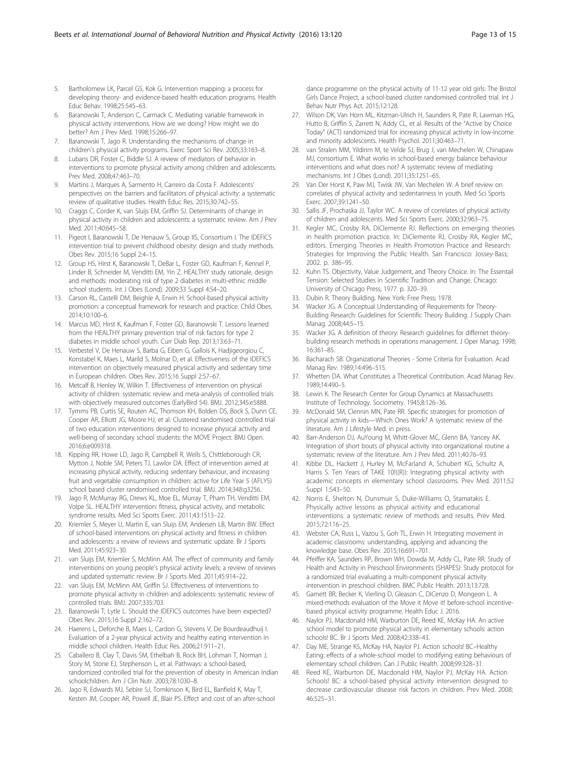- <span id="page-12-0"></span>5. Bartholomew LK, Parcel GS, Kok G. Intervention mapping: a process for developing theory- and evidence-based health education programs. Health Educ Behav. 1998;25:545–63.
- 6. Baranowski T, Anderson C, Carmack C. Mediating variable framework in physical activity interventions. How are we doing? How might we do better? Am J Prev Med. 1998;15:266–97.
- 7. Baranowski T, Jago R. Understanding the mechanisms of change in children's physical activity programs. Exerc Sport Sci Rev. 2005;33:163–8.
- 8. Lubans DR, Foster C, Biddle SJ. A review of mediators of behavior in interventions to promote physical activity among children and adolescents. Prev Med. 2008;47:463–70.
- 9. Martins J, Marques A, Sarmento H, Carreiro da Costa F. Adolescents' perspectives on the barriers and facilitators of physical activity: a systematic review of qualitative studies. Health Educ Res. 2015;30:742–55.
- 10. Craggs C, Corder K, van Sluijs EM, Griffin SJ. Determinants of change in physical activity in children and adolescents: a systematic review. Am J Prev Med. 2011;40:645–58.
- 11. Pigeot I, Baranowski T, De Henauw S, Group IIS, Consortium I. The IDEFICS intervention trial to prevent childhood obesity: design and study methods. Obes Rev. 2015;16 Suppl 2:4–15.
- 12. Group HS, Hirst K, Baranowski T, DeBar L, Foster GD, Kaufman F, Kennel P, Linder B, Schneider M, Venditti EM, Yin Z. HEALTHY study rationale, design and methods: moderating risk of type 2 diabetes in multi-ethnic middle school students. Int J Obes (Lond). 2009;33 Suppl 4:S4–20.
- 13. Carson RL, Castelli DM, Beighle A, Erwin H. School-based physical activity promotion: a conceptual framework for research and practice. Child Obes. 2014;10:100–6.
- 14. Marcus MD, Hirst K, Kaufman F, Foster GD, Baranowski T. Lessons learned from the HEALTHY primary prevention trial of risk factors for type 2 diabetes in middle school youth. Curr Diab Rep. 2013;13:63–71.
- 15. Verbestel V, De Henauw S, Barba G, Eiben G, Gallois K, Hadjigeorgiou C, Konstabel K, Maes L, Marild S, Molnar D, et al. Effectiveness of the IDEFICS intervention on objectively measured physical activity and sedentary time in European children. Obes Rev. 2015;16 Suppl 2:57–67.
- 16. Metcalf B, Henley W, Wilkin T. Effectiveness of intervention on physical activity of children: systematic review and meta-analysis of controlled trials with objectively measured outcomes (EarlyBird 54). BMJ. 2012;345:e5888.
- 17. Tymms PB, Curtis SE, Routen AC, Thomson KH, Bolden DS, Bock S, Dunn CE, Cooper AR, Elliott JG, Moore HJ, et al. Clustered randomised controlled trial of two education interventions designed to increase physical activity and well-being of secondary school students: the MOVE Project. BMJ Open. 2016;6:e009318.
- 18. Kipping RR, Howe LD, Jago R, Campbell R, Wells S, Chittleborough CR, Mytton J, Noble SM, Peters TJ, Lawlor DA. Effect of intervention aimed at increasing physical activity, reducing sedentary behaviour, and increasing fruit and vegetable consumption in children: active for Life Year 5 (AFLY5) school based cluster randomised controlled trial. BMJ. 2014;348:g3256.
- 19. Jago R, McMurray RG, Drews KL, Moe EL, Murray T, Pham TH, Venditti EM, Volpe SL. HEALTHY intervention: fitness, physical activity, and metabolic syndrome results. Med Sci Sports Exerc. 2011;43:1513–22.
- 20. Kriemler S, Meyer U, Martin E, van Sluijs EM, Andersen LB, Martin BW. Effect of school-based interventions on physical activity and fitness in children and adolescents: a review of reviews and systematic update. Br J Sports Med. 2011;45:923–30.
- 21. van Sluijs EM, Kriemler S, McMinn AM. The effect of community and family interventions on young people's physical activity levels: a review of reviews and updated systematic review. Br J Sports Med. 2011;45:914–22.
- 22. van Sluijs EM, McMinn AM, Griffin SJ. Effectiveness of interventions to promote physical activity in children and adolescents: systematic review of controlled trials. BMJ. 2007;335:703.
- 23. Baranowski T, Lytle L. Should the IDEFICS outcomes have been expected? Obes Rev. 2015;16 Suppl 2:162–72.
- 24. Haerens L, Deforche B, Maes L, Cardon G, Stevens V, De Bourdeaudhuij I. Evaluation of a 2-year physical activity and healthy eating intervention in middle school children. Health Educ Res. 2006;21:911–21.
- 25. Caballero B, Clay T, Davis SM, Ethelbah B, Rock BH, Lohman T, Norman J, Story M, Stone EJ, Stephenson L, et al. Pathways: a school-based, randomized controlled trial for the prevention of obesity in American Indian schoolchildren. Am J Clin Nutr. 2003;78:1030–8.
- 26. Jago R, Edwards MJ, Sebire SJ, Tomkinson K, Bird EL, Banfield K, May T, Kesten JM, Cooper AR, Powell JE, Blair PS. Effect and cost of an after-school

dance programme on the physical activity of 11-12 year old girls: The Bristol Girls Dance Project, a school-based cluster randomised controlled trial. Int J Behav Nutr Phys Act. 2015;12:128.

- 27. Wilson DK, Van Horn ML, Kitzman-Ulrich H, Saunders R, Pate R, Lawman HG, Hutto B, Griffin S, Zarrett N, Addy CL, et al. Results of the "Active by Choice Today" (ACT) randomized trial for increasing physical activity in low-income and minority adolescents. Health Psychol. 2011;30:463–71.
- 28. van Stralen MM, Yildirim M, te Velde SJ, Brug J, van Mechelen W, Chinapaw MJ, consortium E. What works in school-based energy balance behaviour interventions and what does not? A systematic review of mediating mechanisms. Int J Obes (Lond). 2011;35:1251–65.
- 29. Van Der Horst K, Paw MJ, Twisk JW, Van Mechelen W. A brief review on correlates of physical activity and sedentariness in youth. Med Sci Sports Exerc. 2007;39:1241–50.
- 30. Sallis JF, Prochaska JJ, Taylor WC. A review of correlates of physical activity of children and adolescents. Med Sci Sports Exerc. 2000;32:963–75.
- 31. Kegler MC, Crosby RA, DiClemente RJ. Reflections on emerging theories in health promotion practice. In: DiClemente RJ, Crosby RA, Kegler MC, editors. Emerging Theories in Health Promotion Practice and Research: Strategies for Improving the Public Health. San Francisco: Jossey-Bass; 2002. p. 386–95.
- 32. Kuhn TS. Objectivity, Value Judgement, and Theory Choice. In: The Essentail Tension: Selected Studies in Scientific Tradition and Change. Chicago: University of Chicago Press; 1977. p. 320–39.
- 33. Dubin R. Theory Building. New York: Free Press; 1978.
- 34. Wacker JG. A Conceptual Understanding of Requirements for Theory-Building Research: Guidelines for Scientific Theory Building. J Supply Chain Manag. 2008;44:5–15.
- 35. Wacker JG. A definition of theory: Research guidelines for differnet theorybuilding research methods in operations management. J Oper Manag. 1998; 16:361–85.
- 36. Bacharach SB. Organizational Theories Some Criteria for Evaluation. Acad Manag Rev. 1989;14:496–515.
- 37. Whetten DA. What Constitutes a Theoretical Contribution. Acad Manag Rev. 1989;14:490–5.
- 38. Lewin K. The Research Center for Group Dynamics at Massachusetts Institute of Technology. Sociometry. 1945;8:126–36.
- 39. McDonald SM, Clennin MN, Pate RR. Specific strategies for promotion of physical activity in kids—Which Ones Work? A systematic review of the literature. Am J Lifestyle Med. in press.
- 40. Barr-Anderson DJ, AuYoung M, Whitt-Glover MC, Glenn BA, Yancey AK. Integration of short bouts of physical activity into organizational routine a systematic review of the literature. Am J Prev Med. 2011;40:76–93.
- 41. Kibbe DL, Hackett J, Hurley M, McFarland A, Schubert KG, Schultz A, Harris S. Ten Years of TAKE 10!((R)): Integrating physical activity with academic concepts in elementary school classrooms. Prev Med. 2011;52 Suppl 1:S43–50.
- 42. Norris E, Shelton N, Dunsmuir S, Duke-Williams O, Stamatakis E. Physically active lessons as physical activity and educational interventions: a systematic review of methods and results. Prev Med. 2015;72:116–25.
- 43. Webster CA, Russ L, Vazou S, Goh TL, Erwin H. Integrating movement in academic classrooms: understanding, applying and advancing the knowledge base. Obes Rev. 2015;16:691–701.
- 44. Pfeiffer KA, Saunders RP, Brown WH, Dowda M, Addy CL, Pate RR. Study of Health and Activity in Preschool Environments (SHAPES): Study protocol for a randomized trial evaluating a multi-component physical activity intervention in preschool children. BMC Public Health. 2013;13:728.
- 45. Garnett BR, Becker K, Vierling D, Gleason C, DiCenzo D, Mongeon L. A mixed-methods evaluation of the Move it Move it! before-school incentivebased physical activity programme. Health Educ J. 2016.
- 46. Naylor PJ, Macdonald HM, Warburton DE, Reed KE, McKay HA. An active school model to promote physical activity in elementary schools: action schools! BC. Br J Sports Med. 2008;42:338–43.
- 47. Day ME, Strange KS, McKay HA, Naylor PJ. Action schools! BC–Healthy Eating: effects of a whole-school model to modifying eating behaviours of elementary school children. Can J Public Health. 2008;99:328–31.
- 48. Reed KE, Warburton DE, Macdonald HM, Naylor PJ, McKay HA. Action Schools! BC: a school-based physical activity intervention designed to decrease cardiovascular disease risk factors in children. Prev Med. 2008; 46:525–31.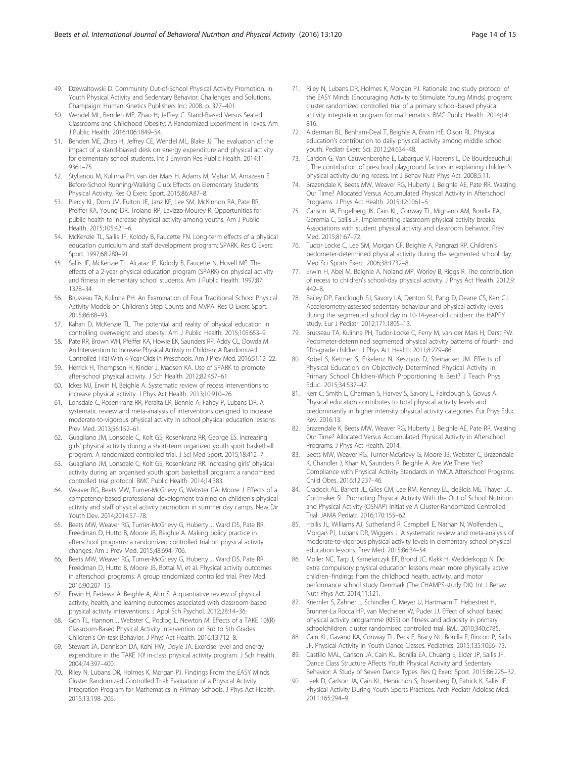- <span id="page-13-0"></span>49. Dzewaltowski D. Community Out-of-School Physical Activity Promotion. In: Youth Physical Activity and Sedentary Behavior: Challenges and Solutions. Champaign: Human Kinetics Publishers Inc; 2008. p. 377–401.
- 50. Wendel ML, Benden ME, Zhao H, Jeffrey C. Stand-Biased Versus Seated Classrooms and Childhood Obesity: A Randomized Experiment in Texas. Am J Public Health. 2016;106:1849–54.
- 51. Benden ME, Zhao H, Jeffrey CE, Wendel ML, Blake JJ. The evaluation of the impact of a stand-biased desk on energy expenditure and physical activity for elementary school students. Int J Environ Res Public Health. 2014;11: 9361–75.
- 52. Stylianou M, Kulinna PH, van der Mars H, Adams M, Mahar M, Amazeen E. Before-School Running/Walking Club: Effects on Elementary Students' Physical Activity. Res Q Exerc Sport. 2015;86:A87–8.
- 53. Piercy KL, Dorn JM, Fulton JE, Janz KF, Lee SM, McKinnon RA, Pate RR, Pfeiffer KA, Young DR, Troiano RP, Lavizzo-Mourey R. Opportunities for public health to increase physical activity among youths. Am J Public Health. 2015;105:421–6.
- 54. McKenzie TL, Sallis JF, Kolody B, Faucette FN. Long-term effects of a physical education curriculum and staff development program: SPARK. Res Q Exerc Sport. 1997;68:280–91.
- 55. Sallis JF, McKenzie TL, Alcaraz JE, Kolody B, Faucette N, Hovell MF. The effects of a 2-year physical education program (SPARK) on physical activity and fitness in elementary school students. Am J Public Health. 1997;87: 1328–34.
- 56. Brusseau TA, Kulinna PH. An Examination of Four Traditional School Physical Activity Models on Children's Step Counts and MVPA. Res Q Exerc Sport. 2015;86:88–93.
- 57. Kahan D, McKenzie TL. The potential and reality of physical education in controlling overweight and obesity. Am J Public Health. 2015;105:653–9.
- 58. Pate RR, Brown WH, Pfeiffer KA, Howie EK, Saunders RP, Addy CL, Dowda M. An Intervention to Increase Physical Activity in Children: A Randomized Controlled Trial With 4-Year-Olds in Preschools. Am J Prev Med. 2016;51:12–22.
- 59. Herrick H, Thompson H, Kinder J, Madsen KA. Use of SPARK to promote after-school physical activity. J Sch Health. 2012;82:457–61.
- 60. Ickes MJ, Erwin H, Beighle A. Systematic review of recess interventions to increase physical activity. J Phys Act Health. 2013;10:910–26.
- 61. Lonsdale C, Rosenkranz RR, Peralta LR, Bennie A, Fahey P, Lubans DR. A systematic review and meta-analysis of interventions designed to increase moderate-to-vigorous physical activity in school physical education lessons. Prev Med. 2013;56:152–61.
- 62. Guagliano JM, Lonsdale C, Kolt GS, Rosenkranz RR, George ES. Increasing girls' physical activity during a short-term organized youth sport basketball program: A randomized controlled trial. J Sci Med Sport. 2015;18:412–7.
- 63. Guagliano JM, Lonsdale C, Kolt GS, Rosenkranz RR. Increasing girls' physical activity during an organised youth sport basketball program: a randomised controlled trial protocol. BMC Public Health. 2014;14:383.
- 64. Weaver RG, Beets MW, Turner-McGrievy G, Webster CA, Moore J. Effects of a competency-based professional development training on children's physical activity and staff physical activity promotion in summer day camps. New Dir Youth Dev. 2014;2014:57–78.
- 65. Beets MW, Weaver RG, Turner-McGrievy G, Huberty J, Ward DS, Pate RR, Freedman D, Hutto B, Moore JB, Beighle A. Making policy practice in afterschool programs: a randomized controlled trial on physical activity changes. Am J Prev Med. 2015;48:694–706.
- 66. Beets MW, Weaver RG, Turner-McGrievy G, Huberty J, Ward DS, Pate RR, Freedman D, Hutto B, Moore JB, Bottai M, et al. Physical activity outcomes in afterschool programs: A group randomized controlled trial. Prev Med. 2016;90:207–15.
- 67. Erwin H, Fedewa A, Beighle A, Ahn S. A quantiative review of physical activity, health, and learning outcomes associated with classroom-based physical activity interventions. J Appl Sch Psychol. 2012;28:14–36.
- 68. Goh TL, Hannon J, Webster C, Podlog L, Newton M. Effects of a TAKE 10!(R) Classroom-Based Physical Activity Intervention on 3rd to 5th Grades Children's On-task Behavior. J Phys Act Health. 2016;13:712–8.
- 69. Stewart JA, Dennison DA, Kohl HW, Doyle JA. Exercise level and energy expenditure in the TAKE 10! in-class physical activity program. J Sch Health. 2004;74:397–400.
- 70. Riley N, Lubans DR, Holmes K, Morgan PJ. Findings From the EASY Minds Cluster Randomized Controlled Trial: Evaluation of a Physical Activity Integration Program for Mathematics in Primary Schools. J Phys Act Health. 2015;13:198–206.
- 71. Riley N, Lubans DR, Holmes K, Morgan PJ. Rationale and study protocol of the EASY Minds (Encouraging Activity to Stimulate Young Minds) program: cluster randomized controlled trial of a primary school-based physical activity integration program for mathematics. BMC Public Health. 2014;14: 816.
- 72. Alderman BL, Benham-Deal T, Beighle A, Erwin HE, Olson RL. Physical education's contribution to daily physical activity among middle school youth. Pediatr Exerc Sci. 2012;24:634–48.
- 73. Cardon G, Van Cauwenberghe E, Labarque V, Haerens L, De Bourdeaudhuij I. The contribution of preschool playground factors in explaining children's physical activity during recess. Int J Behav Nutr Phys Act. 2008;5:11.
- 74. Brazendale K, Beets MW, Weaver RG, Huberty J, Beighle AE, Pate RR. Wasting Our Time? Allocated Versus Accumulated Physical Activity in Afterschool Programs. J Phys Act Health. 2015;12:1061–5.
- 75. Carlson JA, Engelberg JK, Cain KL, Conway TL, Mignano AM, Bonilla EA, Geremia C, Sallis JF. Implementing classroom physical activity breaks: Associations with student physical activity and classroom behavior. Prev Med. 2015;81:67–72.
- 76. Tudor-Locke C, Lee SM, Morgan CF, Beighle A, Pangrazi RP. Children's pedometer-determined physical activity during the segmented school day. Med Sci Sports Exerc. 2006;38:1732–8.
- 77. Erwin H, Abel M, Beighle A, Noland MP, Worley B, Riggs R. The contribution of recess to children's school-day physical activity. J Phys Act Health. 2012;9: 442–8.
- 78. Bailey DP, Fairclough SJ, Savory LA, Denton SJ, Pang D, Deane CS, Kerr CJ. Accelerometry-assessed sedentary behaviour and physical activity levels during the segmented school day in 10-14-year-old children: the HAPPY study. Eur J Pediatr. 2012;171:1805–13.
- 79. Brusseau TA, Kulinna PH, Tudor-Locke C, Ferry M, van der Mars H, Darst PW. Pedometer-determined segmented physical activity patterns of fourth- and fifth-grade children. J Phys Act Health. 2011;8:279–86.
- 80. Kobel S, Kettner S, Erkelenz N, Kesztyus D, Steinacker JM. Effects of Physical Education on Objectively Determined Physical Activity in Primary School Children-Which Proportioning Is Best? J Teach Phys Educ. 2015;34:537–47.
- 81. Kerr C, Smith L, Charman S, Harvey S, Savory L, Fairclough S, Govus A. Physical education contributes to total physical activity levels and predominantly in higher intensity physical activity categories. Eur Phys Educ Rev. 2016:13.
- 82. Brazendale K, Beets MW, Weaver RG, Huberty J, Beighle AE, Pate RR. Wasting Our Time? Allocated Versus Accumulated Physical Activity in Afterschool Programs. J Phys Act Health. 2014.
- Beets MW, Weaver RG, Turner-McGrievy G, Moore JB, Webster C, Brazendale K, Chandler J, Khan M, Saunders R, Beighle A. Are We There Yet? Compliance with Physical Activity Standards in YMCA Afterschool Programs. Child Obes. 2016;12:237–46.
- 84. Cradock AL, Barrett JL, Giles CM, Lee RM, Kenney EL, deBlois ME, Thayer JC, Gortmaker SL. Promoting Physical Activity With the Out of School Nutrition and Physical Activity (OSNAP) Initiative A Cluster-Randomized Controlled Trial. JAMA Pediatr. 2016;170:155–62.
- 85. Hollis JL, Williams AJ, Sutherland R, Campbell E, Nathan N, Wolfenden L, Morgan PJ, Lubans DR, Wiggers J. A systematic review and meta-analysis of moderate-to-vigorous physical activity levels in elementary school physical education lessons. Prev Med. 2015;86:34–54.
- 86. Moller NC, Tarp J, Kamelarczyk EF, Brond JC, Klakk H, Wedderkopp N. Do extra compulsory physical education lessons mean more physically active children–findings from the childhood health, activity, and motor performance school study Denmark (The CHAMPS-study DK). Int J Behav Nutr Phys Act. 2014;11:121.
- 87. Kriemler S, Zahner L, Schindler C, Meyer U, Hartmann T, Hebestreit H, Brunner-La Rocca HP, van Mechelen W, Puder JJ. Effect of school based physical activity programme (KISS) on fitness and adiposity in primary schoolchildren: cluster randomised controlled trial. BMJ. 2010;340:c785.
- 88. Cain KL, Gavand KA, Conway TL, Peck E, Bracy NL, Bonilla E, Rincon P, Sallis JF. Physical Activity in Youth Dance Classes. Pediatrics. 2015;135:1066–73.
- 89. Castillo MAL, Carlson JA, Cain KL, Bonilla EA, Chuang E, Elder JP, Sallis JF. Dance Class Structure Affects Youth Physical Activity and Sedentary Behavior: A Study of Seven Dance Types. Res Q Exerc Sport. 2015;86:225–32.
- 90. Leek D, Carlson JA, Cain KL, Henrichon S, Rosenberg D, Patrick K, Sallis JF. Physical Activity During Youth Sports Practices. Arch Pediatr Adolesc Med. 2011;165:294–9.